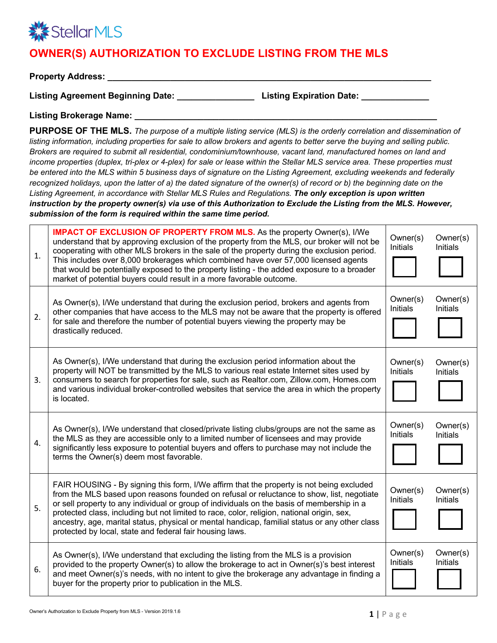

## **OWNER(S) AUTHORIZATION TO EXCLUDE LISTING FROM THE MLS**

**Property Address:** 

**Listing Agreement Beginning Date: \_\_\_\_\_\_\_\_\_\_\_\_\_\_\_\_ Listing Expiration Date: \_\_\_\_\_\_\_\_\_\_\_\_\_\_** 

**Listing Brokerage Name: \_\_\_\_\_\_\_\_\_\_\_\_\_\_\_\_\_\_\_\_\_\_\_\_\_\_\_\_\_\_\_\_\_\_\_\_\_\_\_\_\_\_\_\_\_\_\_\_\_\_\_\_\_\_\_\_\_\_\_\_\_** 

**PURPOSE OF THE MLS.** *The purpose of a multiple listing service (MLS) is the orderly correlation and dissemination of listing information, including properties for sale to allow brokers and agents to better serve the buying and selling public. Brokers are required to submit all residential, condominium/townhouse, vacant land, manufactured homes on land and income properties (duplex, tri-plex or 4-plex) for sale or lease within the Stellar MLS service area. These properties must be entered into the MLS within 5 business days of signature on the Listing Agreement, excluding weekends and federally recognized holidays, upon the latter of a) the dated signature of the owner(s) of record or b) the beginning date on the Listing Agreement, in accordance with Stellar MLS Rules and Regulations. The only exception is upon written instruction by the property owner(s) via use of this Authorization to Exclude the Listing from the MLS. However, submission of the form is required within the same time period.*

| 1.             | <b>IMPACT OF EXCLUSION OF PROPERTY FROM MLS.</b> As the property Owner(s), I/We<br>understand that by approving exclusion of the property from the MLS, our broker will not be<br>cooperating with other MLS brokers in the sale of the property during the exclusion period.<br>This includes over 8,000 brokerages which combined have over 57,000 licensed agents<br>that would be potentially exposed to the property listing - the added exposure to a broader<br>market of potential buyers could result in a more favorable outcome.     | Owner(s)<br><b>Initials</b> | Owner(s)<br><b>Initials</b> |
|----------------|-------------------------------------------------------------------------------------------------------------------------------------------------------------------------------------------------------------------------------------------------------------------------------------------------------------------------------------------------------------------------------------------------------------------------------------------------------------------------------------------------------------------------------------------------|-----------------------------|-----------------------------|
| 2.             | As Owner(s), I/We understand that during the exclusion period, brokers and agents from<br>other companies that have access to the MLS may not be aware that the property is offered<br>for sale and therefore the number of potential buyers viewing the property may be<br>drastically reduced.                                                                                                                                                                                                                                                | Owner(s)<br>Initials        | Owner(s)<br>Initials        |
| 3.             | As Owner(s), I/We understand that during the exclusion period information about the<br>property will NOT be transmitted by the MLS to various real estate Internet sites used by<br>consumers to search for properties for sale, such as Realtor.com, Zillow.com, Homes.com<br>and various individual broker-controlled websites that service the area in which the property<br>is located.                                                                                                                                                     | Owner(s)<br><b>Initials</b> | Owner(s)<br><b>Initials</b> |
| $\mathbf{4}$ . | As Owner(s), I/We understand that closed/private listing clubs/groups are not the same as<br>the MLS as they are accessible only to a limited number of licensees and may provide<br>significantly less exposure to potential buyers and offers to purchase may not include the<br>terms the Owner(s) deem most favorable.                                                                                                                                                                                                                      | Owner(s)<br>Initials        | Owner(s)<br><b>Initials</b> |
| 5.             | FAIR HOUSING - By signing this form, I/We affirm that the property is not being excluded<br>from the MLS based upon reasons founded on refusal or reluctance to show, list, negotiate<br>or sell property to any individual or group of individuals on the basis of membership in a<br>protected class, including but not limited to race, color, religion, national origin, sex,<br>ancestry, age, marital status, physical or mental handicap, familial status or any other class<br>protected by local, state and federal fair housing laws. | Owner(s)<br><b>Initials</b> | Owner(s)<br><b>Initials</b> |
| 6.             | As Owner(s), I/We understand that excluding the listing from the MLS is a provision<br>provided to the property Owner(s) to allow the brokerage to act in Owner(s)'s best interest<br>and meet Owner(s)'s needs, with no intent to give the brokerage any advantage in finding a<br>buyer for the property prior to publication in the MLS.                                                                                                                                                                                                     | Owner(s)<br>Initials        | Owner(s)<br><b>Initials</b> |